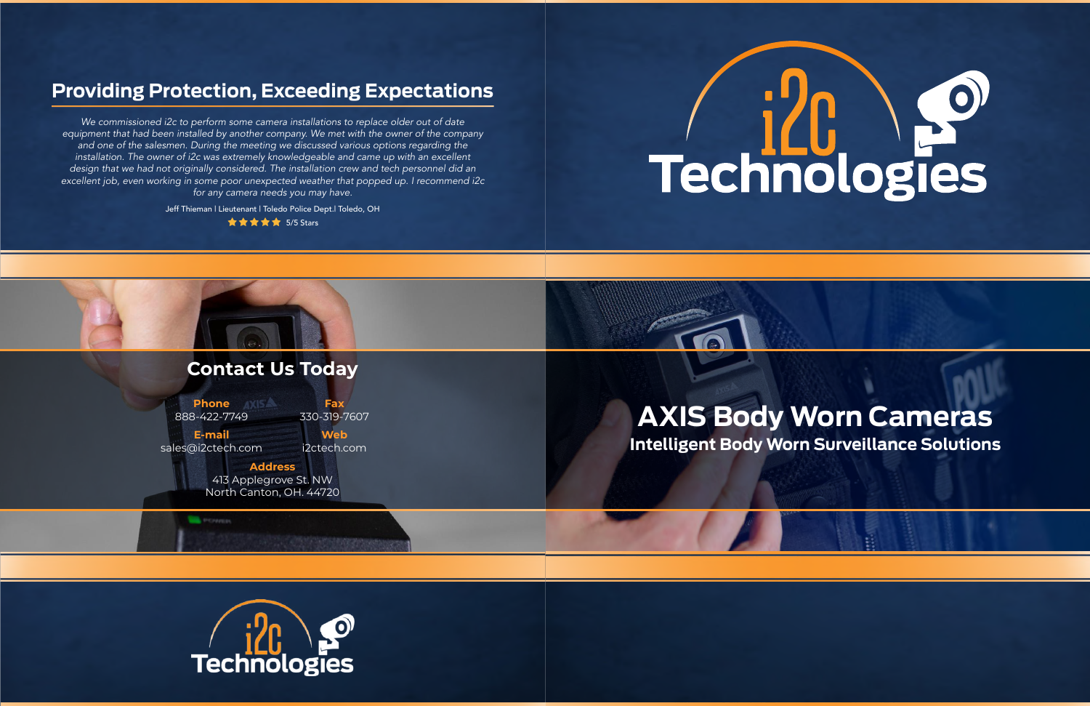# **Providing Protection, Exceeding Expectations**

*We commissioned i2c to perform some camera installations to replace older out of date equipment that had been installed by another company. We met with the owner of the company and one of the salesmen. During the meeting we discussed various options regarding the installation. The owner of i2c was extremely knowledgeable and came up with an excellent design that we had not originally considered. The installation crew and tech personnel did an excellent job, even working in some poor unexpected weather that popped up. I recommend i2c for any camera needs you may have.*

Jeff Thieman | Lieutenant | Toledo Police Dept.| Toledo, OH

**食食食食 5/5 Stars** 





# $\bigcirc$ Technologies

# **Intelligent Body Worn Surveillance Solutions**